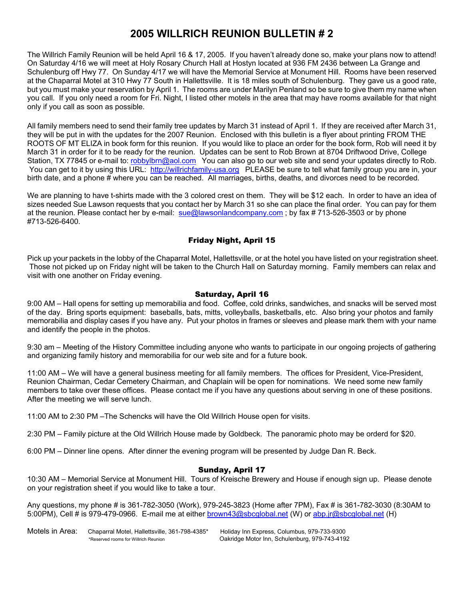## **2005 WILLRICH REUNION BULLETIN # 2**

The Willrich Family Reunion will be held April 16 & 17, 2005. If you haven't already done so, make your plans now to attend! On Saturday 4/16 we will meet at Holy Rosary Church Hall at Hostyn located at 936 FM 2436 between La Grange and Schulenburg off Hwy 77. On Sunday 4/17 we will have the Memorial Service at Monument Hill. Rooms have been reserved at the Chaparral Motel at 310 Hwy 77 South in Hallettsville. It is 18 miles south of Schulenburg. They gave us a good rate, but you must make your reservation by April 1. The rooms are under Marilyn Penland so be sure to give them my name when you call. If you only need a room for Fri. Night, I listed other motels in the area that may have rooms available for that night only if you call as soon as possible.

All family members need to send their family tree updates by March 31 instead of April 1. If they are received after March 31, they will be put in with the updates for the 2007 Reunion. Enclosed with this bulletin is a flyer about printing FROM THE ROOTS OF MT ELIZA in book form for this reunion. If you would like to place an order for the book form, Rob will need it by March 31 in order for it to be ready for the reunion. Updates can be sent to Rob Brown at 8704 Driftwood Drive, College Station, TX 77845 or e-mail to: robbylbrn@aol.com You can also go to our web site and send your updates directly to Rob. You can get to it by using this URL: http://willrichfamily-usa.org PLEASE be sure to tell what family group you are in, your birth date, and a phone # where you can be reached. All marriages, births, deaths, and divorces need to be recorded.

We are planning to have t-shirts made with the 3 colored crest on them. They will be \$12 each. In order to have an idea of sizes needed Sue Lawson requests that you contact her by March 31 so she can place the final order. You can pay for them at the reunion. Please contact her by e-mail: sue@lawsonlandcompany.com; by fax # 713-526-3503 or by phone #713-526-6400.

### Friday Night, April 15

Pick up your packets in the lobby of the Chaparral Motel, Hallettsville, or at the hotel you have listed on your registration sheet. Those not picked up on Friday night will be taken to the Church Hall on Saturday morning. Family members can relax and visit with one another on Friday evening.

#### Saturday, April 16

9:00 AM – Hall opens for setting up memorabilia and food. Coffee, cold drinks, sandwiches, and snacks will be served most of the day. Bring sports equipment: baseballs, bats, mitts, volleyballs, basketballs, etc. Also bring your photos and family memorabilia and display cases if you have any. Put your photos in frames or sleeves and please mark them with your name and identify the people in the photos.

9:30 am – Meeting of the History Committee including anyone who wants to participate in our ongoing projects of gathering and organizing family history and memorabilia for our web site and for a future book.

11:00 AM – We will have a general business meeting for all family members. The offices for President, Vice-President, Reunion Chairman, Cedar Cemetery Chairman, and Chaplain will be open for nominations. We need some new family members to take over these offices. Please contact me if you have any questions about serving in one of these positions. After the meeting we will serve lunch.

11:00 AM to 2:30 PM –The Schencks will have the Old Willrich House open for visits.

2:30 PM – Family picture at the Old Willrich House made by Goldbeck. The panoramic photo may be orderd for \$20.

6:00 PM – Dinner line opens. After dinner the evening program will be presented by Judge Dan R. Beck.

#### Sunday, April 17

10:30 AM – Memorial Service at Monument Hill. Tours of Kreische Brewery and House if enough sign up. Please denote on your registration sheet if you would like to take a tour.

Any questions, my phone # is 361-782-3050 (Work), 979-245-3823 (Home after 7PM), Fax # is 361-782-3030 (8:30AM to 5:00PM), Cell # is 979-479-0966. E-mail me at either brown43@sbcglobal.net (W) or abp.jr@sbcglobal.net (H)

Motels in Area: Chaparral Motel, Hallettsville, 361-798-4385\* Holiday Inn Express, Columbus, 979-733-9300<br>Reserved rooms for Willrich Reunion on Oakridge Motor Inn, Schulenburg, 979-743-4192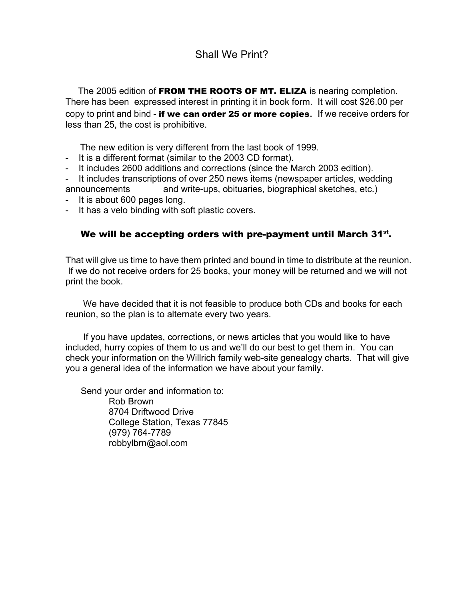# Shall We Print?

The 2005 edition of **FROM THE ROOTS OF MT. ELIZA** is nearing completion. There has been expressed interest in printing it in book form. It will cost \$26.00 per copy to print and bind - if we can order 25 or more copies. If we receive orders for less than 25, the cost is prohibitive.

The new edition is very different from the last book of 1999.

- It is a different format (similar to the 2003 CD format).
- It includes 2600 additions and corrections (since the March 2003 edition).

It includes transcriptions of over 250 news items (newspaper articles, wedding announcements and write-ups, obituaries, biographical sketches, etc.)

- It is about 600 pages long.
- It has a velo binding with soft plastic covers.

### We will be accepting orders with pre-payment until March  $31^{st}$ .

That will give us time to have them printed and bound in time to distribute at the reunion. If we do not receive orders for 25 books, your money will be returned and we will not print the book.

 We have decided that it is not feasible to produce both CDs and books for each reunion, so the plan is to alternate every two years.

 If you have updates, corrections, or news articles that you would like to have included, hurry copies of them to us and we'll do our best to get them in. You can check your information on the Willrich family web-site genealogy charts. That will give you a general idea of the information we have about your family.

 Send your order and information to: Rob Brown 8704 Driftwood Drive College Station, Texas 77845 (979) 764-7789 robbylbrn@aol.com